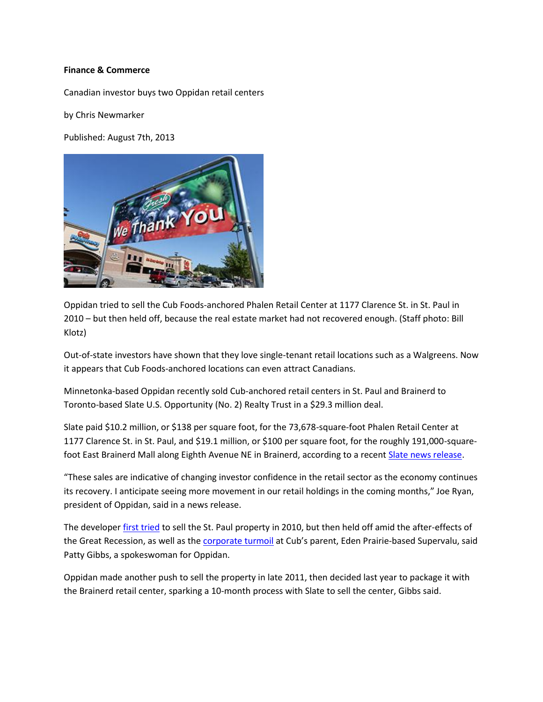## **Finance & Commerce**

Canadian investor buys two Oppidan retail centers

by Chris Newmarker

Published: August 7th, 2013



Oppidan tried to sell the Cub Foods-anchored Phalen Retail Center at 1177 Clarence St. in St. Paul in 2010 – but then held off, because the real estate market had not recovered enough. (Staff photo: Bill Klotz)

Out-of-state investors have shown that they love single-tenant retail locations such as a Walgreens. Now it appears that Cub Foods-anchored locations can even attract Canadians.

Minnetonka-based Oppidan recently sold Cub-anchored retail centers in St. Paul and Brainerd to Toronto-based Slate U.S. Opportunity (No. 2) Realty Trust in a \$29.3 million deal.

Slate paid \$10.2 million, or \$138 per square foot, for the 73,678-square-foot Phalen Retail Center at 1177 Clarence St. in St. Paul, and \$19.1 million, or \$100 per square foot, for the roughly 191,000-squarefoot East Brainerd Mall along Eighth Avenue NE in Brainerd, according to a recent [Slate news release.](http://www.newswire.ca/en/story/1200679/slate-u-s-opportunity-no-2-realty-trust-to-acquire-retail-assets-in-minnesota)

"These sales are indicative of changing investor confidence in the retail sector as the economy continues its recovery. I anticipate seeing more movement in our retail holdings in the coming months," Joe Ryan, president of Oppidan, said in a news release.

The develope[r first tried](http://finance-commerce.com/2010/05/oppidan-selling-16-retail-properties/) to sell the St. Paul property in 2010, but then held off amid the after-effects of the Great Recession, as well as the **corporate turmoil** at Cub's parent, Eden Prairie-based Supervalu, said Patty Gibbs, a spokeswoman for Oppidan.

Oppidan made another push to sell the property in late 2011, then decided last year to package it with the Brainerd retail center, sparking a 10-month process with Slate to sell the center, Gibbs said.